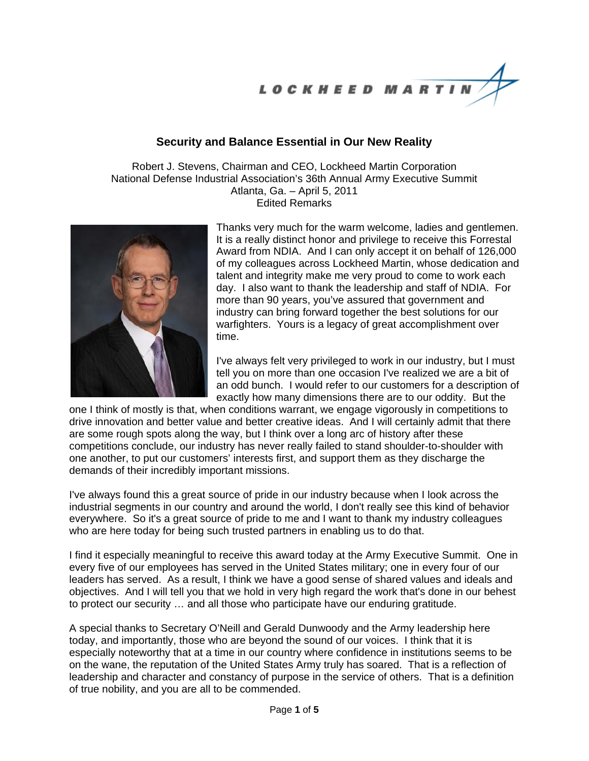LOCKHEED MARTIN

## **Security and Balance Essential in Our New Reality**

Robert J. Stevens, Chairman and CEO, Lockheed Martin Corporation National Defense Industrial Association's 36th Annual Army Executive Summit Atlanta, Ga. – April 5, 2011 Edited Remarks



Thanks very much for the warm welcome, ladies and gentlemen. It is a really distinct honor and privilege to receive this Forrestal Award from NDIA. And I can only accept it on behalf of 126,000 of my colleagues across Lockheed Martin, whose dedication and talent and integrity make me very proud to come to work each day. I also want to thank the leadership and staff of NDIA. For more than 90 years, you've assured that government and industry can bring forward together the best solutions for our warfighters. Yours is a legacy of great accomplishment over time.

I've always felt very privileged to work in our industry, but I must tell you on more than one occasion I've realized we are a bit of an odd bunch. I would refer to our customers for a description of exactly how many dimensions there are to our oddity. But the

one I think of mostly is that, when conditions warrant, we engage vigorously in competitions to drive innovation and better value and better creative ideas. And I will certainly admit that there are some rough spots along the way, but I think over a long arc of history after these competitions conclude, our industry has never really failed to stand shoulder-to-shoulder with one another, to put our customers' interests first, and support them as they discharge the demands of their incredibly important missions.

I've always found this a great source of pride in our industry because when I look across the industrial segments in our country and around the world, I don't really see this kind of behavior everywhere. So it's a great source of pride to me and I want to thank my industry colleagues who are here today for being such trusted partners in enabling us to do that.

I find it especially meaningful to receive this award today at the Army Executive Summit. One in every five of our employees has served in the United States military; one in every four of our leaders has served. As a result, I think we have a good sense of shared values and ideals and objectives. And I will tell you that we hold in very high regard the work that's done in our behest to protect our security … and all those who participate have our enduring gratitude.

A special thanks to Secretary O'Neill and Gerald Dunwoody and the Army leadership here today, and importantly, those who are beyond the sound of our voices. I think that it is especially noteworthy that at a time in our country where confidence in institutions seems to be on the wane, the reputation of the United States Army truly has soared. That is a reflection of leadership and character and constancy of purpose in the service of others. That is a definition of true nobility, and you are all to be commended.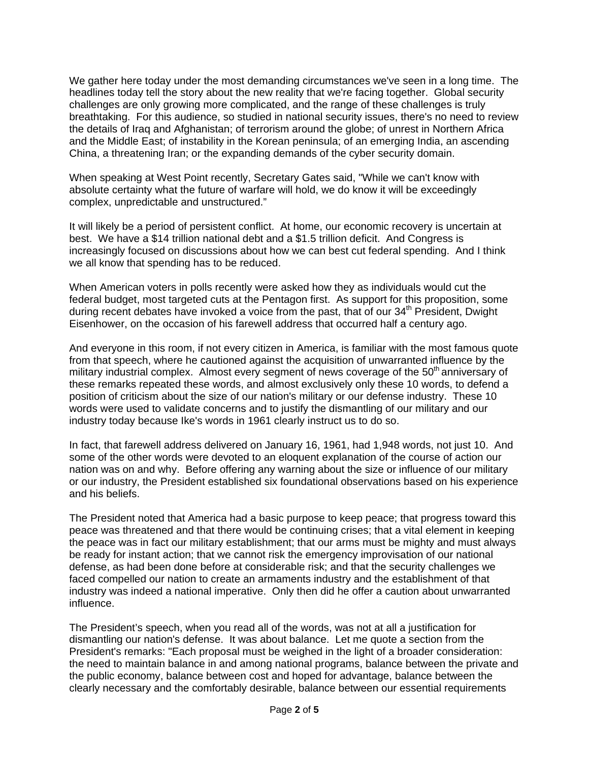We gather here today under the most demanding circumstances we've seen in a long time. The headlines today tell the story about the new reality that we're facing together. Global security challenges are only growing more complicated, and the range of these challenges is truly breathtaking. For this audience, so studied in national security issues, there's no need to review the details of Iraq and Afghanistan; of terrorism around the globe; of unrest in Northern Africa and the Middle East; of instability in the Korean peninsula; of an emerging India, an ascending China, a threatening Iran; or the expanding demands of the cyber security domain.

When speaking at West Point recently, Secretary Gates said, "While we can't know with absolute certainty what the future of warfare will hold, we do know it will be exceedingly complex, unpredictable and unstructured."

It will likely be a period of persistent conflict. At home, our economic recovery is uncertain at best. We have a \$14 trillion national debt and a \$1.5 trillion deficit. And Congress is increasingly focused on discussions about how we can best cut federal spending. And I think we all know that spending has to be reduced.

When American voters in polls recently were asked how they as individuals would cut the federal budget, most targeted cuts at the Pentagon first. As support for this proposition, some during recent debates have invoked a voice from the past, that of our  $34<sup>th</sup>$  President, Dwight Eisenhower, on the occasion of his farewell address that occurred half a century ago.

And everyone in this room, if not every citizen in America, is familiar with the most famous quote from that speech, where he cautioned against the acquisition of unwarranted influence by the military industrial complex. Almost every segment of news coverage of the  $50<sup>th</sup>$  anniversary of these remarks repeated these words, and almost exclusively only these 10 words, to defend a position of criticism about the size of our nation's military or our defense industry. These 10 words were used to validate concerns and to justify the dismantling of our military and our industry today because Ike's words in 1961 clearly instruct us to do so.

In fact, that farewell address delivered on January 16, 1961, had 1,948 words, not just 10. And some of the other words were devoted to an eloquent explanation of the course of action our nation was on and why. Before offering any warning about the size or influence of our military or our industry, the President established six foundational observations based on his experience and his beliefs.

The President noted that America had a basic purpose to keep peace; that progress toward this peace was threatened and that there would be continuing crises; that a vital element in keeping the peace was in fact our military establishment; that our arms must be mighty and must always be ready for instant action; that we cannot risk the emergency improvisation of our national defense, as had been done before at considerable risk; and that the security challenges we faced compelled our nation to create an armaments industry and the establishment of that industry was indeed a national imperative. Only then did he offer a caution about unwarranted influence.

The President's speech, when you read all of the words, was not at all a justification for dismantling our nation's defense. It was about balance. Let me quote a section from the President's remarks: "Each proposal must be weighed in the light of a broader consideration: the need to maintain balance in and among national programs, balance between the private and the public economy, balance between cost and hoped for advantage, balance between the clearly necessary and the comfortably desirable, balance between our essential requirements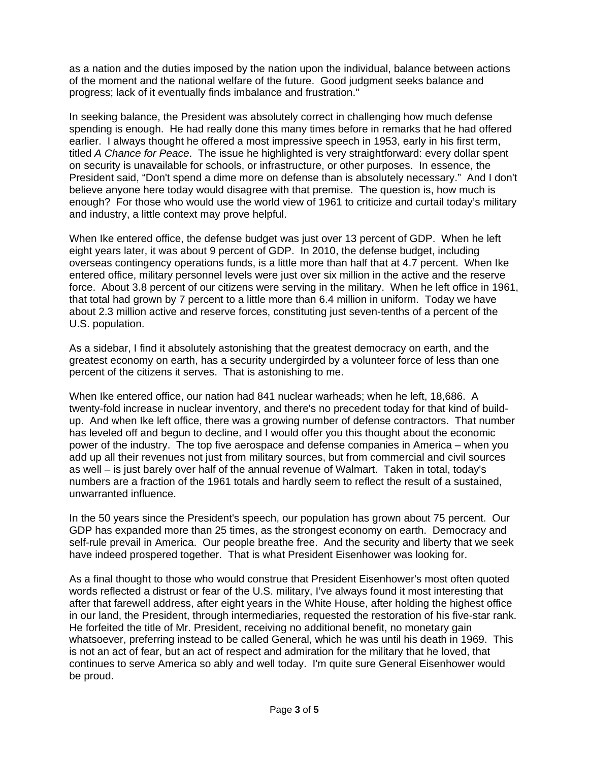as a nation and the duties imposed by the nation upon the individual, balance between actions of the moment and the national welfare of the future. Good judgment seeks balance and progress; lack of it eventually finds imbalance and frustration."

In seeking balance, the President was absolutely correct in challenging how much defense spending is enough. He had really done this many times before in remarks that he had offered earlier. I always thought he offered a most impressive speech in 1953, early in his first term, titled *A Chance for Peace*. The issue he highlighted is very straightforward: every dollar spent on security is unavailable for schools, or infrastructure, or other purposes. In essence, the President said, "Don't spend a dime more on defense than is absolutely necessary." And I don't believe anyone here today would disagree with that premise. The question is, how much is enough? For those who would use the world view of 1961 to criticize and curtail today's military and industry, a little context may prove helpful.

When Ike entered office, the defense budget was just over 13 percent of GDP. When he left eight years later, it was about 9 percent of GDP. In 2010, the defense budget, including overseas contingency operations funds, is a little more than half that at 4.7 percent. When Ike entered office, military personnel levels were just over six million in the active and the reserve force. About 3.8 percent of our citizens were serving in the military. When he left office in 1961, that total had grown by 7 percent to a little more than 6.4 million in uniform. Today we have about 2.3 million active and reserve forces, constituting just seven-tenths of a percent of the U.S. population.

As a sidebar, I find it absolutely astonishing that the greatest democracy on earth, and the greatest economy on earth, has a security undergirded by a volunteer force of less than one percent of the citizens it serves. That is astonishing to me.

When Ike entered office, our nation had 841 nuclear warheads; when he left, 18,686. A twenty-fold increase in nuclear inventory, and there's no precedent today for that kind of buildup. And when Ike left office, there was a growing number of defense contractors. That number has leveled off and begun to decline, and I would offer you this thought about the economic power of the industry. The top five aerospace and defense companies in America – when you add up all their revenues not just from military sources, but from commercial and civil sources as well – is just barely over half of the annual revenue of Walmart. Taken in total, today's numbers are a fraction of the 1961 totals and hardly seem to reflect the result of a sustained, unwarranted influence.

In the 50 years since the President's speech, our population has grown about 75 percent. Our GDP has expanded more than 25 times, as the strongest economy on earth. Democracy and self-rule prevail in America. Our people breathe free. And the security and liberty that we seek have indeed prospered together. That is what President Eisenhower was looking for.

As a final thought to those who would construe that President Eisenhower's most often quoted words reflected a distrust or fear of the U.S. military, I've always found it most interesting that after that farewell address, after eight years in the White House, after holding the highest office in our land, the President, through intermediaries, requested the restoration of his five-star rank. He forfeited the title of Mr. President, receiving no additional benefit, no monetary gain whatsoever, preferring instead to be called General, which he was until his death in 1969. This is not an act of fear, but an act of respect and admiration for the military that he loved, that continues to serve America so ably and well today. I'm quite sure General Eisenhower would be proud.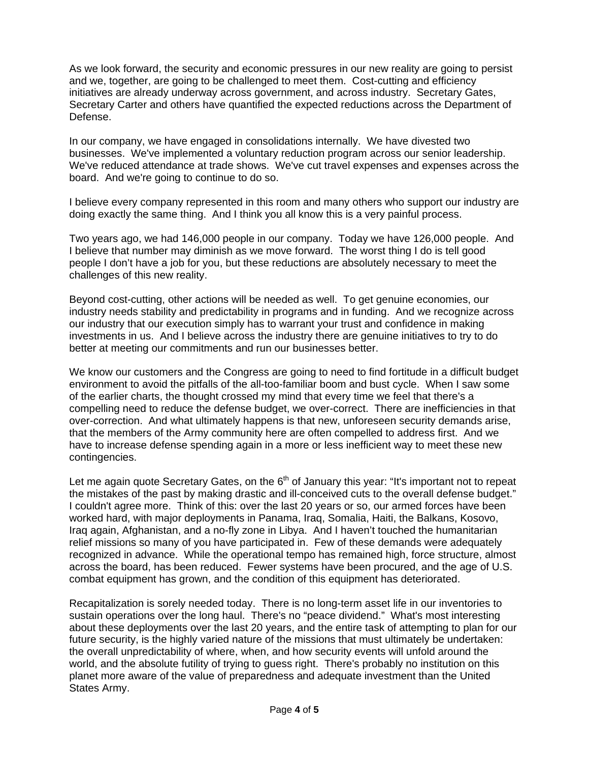As we look forward, the security and economic pressures in our new reality are going to persist and we, together, are going to be challenged to meet them. Cost-cutting and efficiency initiatives are already underway across government, and across industry. Secretary Gates, Secretary Carter and others have quantified the expected reductions across the Department of Defense.

In our company, we have engaged in consolidations internally. We have divested two businesses. We've implemented a voluntary reduction program across our senior leadership. We've reduced attendance at trade shows. We've cut travel expenses and expenses across the board. And we're going to continue to do so.

I believe every company represented in this room and many others who support our industry are doing exactly the same thing. And I think you all know this is a very painful process.

Two years ago, we had 146,000 people in our company. Today we have 126,000 people. And I believe that number may diminish as we move forward. The worst thing I do is tell good people I don't have a job for you, but these reductions are absolutely necessary to meet the challenges of this new reality.

Beyond cost-cutting, other actions will be needed as well. To get genuine economies, our industry needs stability and predictability in programs and in funding. And we recognize across our industry that our execution simply has to warrant your trust and confidence in making investments in us. And I believe across the industry there are genuine initiatives to try to do better at meeting our commitments and run our businesses better.

We know our customers and the Congress are going to need to find fortitude in a difficult budget environment to avoid the pitfalls of the all-too-familiar boom and bust cycle. When I saw some of the earlier charts, the thought crossed my mind that every time we feel that there's a compelling need to reduce the defense budget, we over-correct. There are inefficiencies in that over-correction. And what ultimately happens is that new, unforeseen security demands arise, that the members of the Army community here are often compelled to address first. And we have to increase defense spending again in a more or less inefficient way to meet these new contingencies.

Let me again quote Secretary Gates, on the  $6<sup>th</sup>$  of January this year: "It's important not to repeat the mistakes of the past by making drastic and ill-conceived cuts to the overall defense budget." I couldn't agree more. Think of this: over the last 20 years or so, our armed forces have been worked hard, with major deployments in Panama, Iraq, Somalia, Haiti, the Balkans, Kosovo, Iraq again, Afghanistan, and a no-fly zone in Libya. And I haven't touched the humanitarian relief missions so many of you have participated in. Few of these demands were adequately recognized in advance. While the operational tempo has remained high, force structure, almost across the board, has been reduced. Fewer systems have been procured, and the age of U.S. combat equipment has grown, and the condition of this equipment has deteriorated.

Recapitalization is sorely needed today. There is no long-term asset life in our inventories to sustain operations over the long haul. There's no "peace dividend." What's most interesting about these deployments over the last 20 years, and the entire task of attempting to plan for our future security, is the highly varied nature of the missions that must ultimately be undertaken: the overall unpredictability of where, when, and how security events will unfold around the world, and the absolute futility of trying to guess right. There's probably no institution on this planet more aware of the value of preparedness and adequate investment than the United States Army.